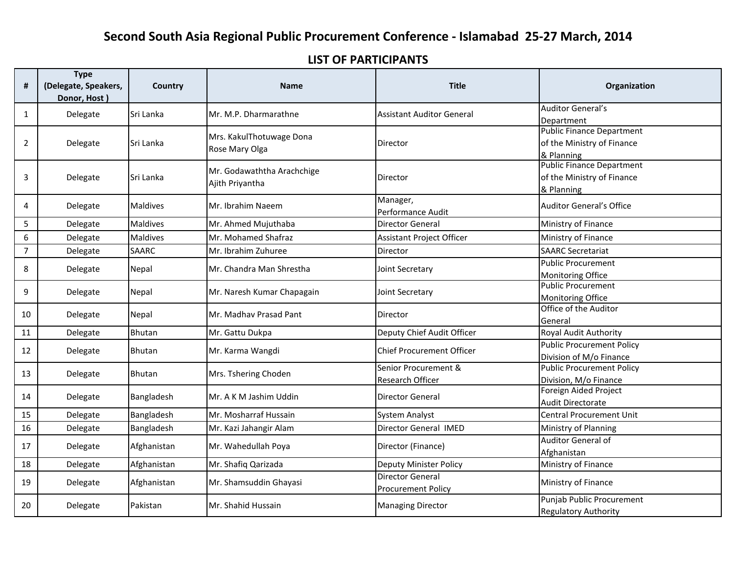## LIST OF PARTICIPANTS

| #              | <b>Type</b><br>(Delegate, Speakers,<br>Donor, Host) | Country         | <b>Name</b>                                   | <b>Title</b>                                         | Organization                                                                 |
|----------------|-----------------------------------------------------|-----------------|-----------------------------------------------|------------------------------------------------------|------------------------------------------------------------------------------|
| 1              | Delegate                                            | Sri Lanka       | Mr. M.P. Dharmarathne                         | <b>Assistant Auditor General</b>                     | <b>Auditor General's</b><br>Department                                       |
| 2              | Delegate                                            | Sri Lanka       | Mrs. KakulThotuwage Dona<br>Rose Mary Olga    | Director                                             | <b>Public Finance Department</b><br>of the Ministry of Finance<br>& Planning |
| 3              | Delegate                                            | Sri Lanka       | Mr. Godawaththa Arachchige<br>Ajith Priyantha | Director                                             | <b>Public Finance Department</b><br>of the Ministry of Finance<br>& Planning |
| 4              | Delegate                                            | <b>Maldives</b> | Mr. Ibrahim Naeem                             | Manager,<br>Performance Audit                        | <b>Auditor General's Office</b>                                              |
| 5              | Delegate                                            | <b>Maldives</b> | Mr. Ahmed Mujuthaba                           | <b>Director General</b>                              | Ministry of Finance                                                          |
| 6              | Delegate                                            | <b>Maldives</b> | Mr. Mohamed Shafraz                           | Assistant Project Officer                            | Ministry of Finance                                                          |
| $\overline{7}$ | Delegate                                            | <b>SAARC</b>    | Mr. Ibrahim Zuhuree                           | <b>Director</b>                                      | <b>SAARC Secretariat</b>                                                     |
| 8              | Delegate                                            | Nepal           | Mr. Chandra Man Shrestha                      | Joint Secretary                                      | <b>Public Procurement</b><br><b>Monitoring Office</b>                        |
| 9              | Delegate                                            | Nepal           | Mr. Naresh Kumar Chapagain                    | Joint Secretary                                      | <b>Public Procurement</b><br><b>Monitoring Office</b>                        |
| 10             | Delegate                                            | Nepal           | Mr. Madhav Prasad Pant                        | <b>Director</b>                                      | Office of the Auditor<br>General                                             |
| 11             | Delegate                                            | <b>Bhutan</b>   | Mr. Gattu Dukpa                               | Deputy Chief Audit Officer                           | Royal Audit Authority                                                        |
| 12             | Delegate                                            | Bhutan          | Mr. Karma Wangdi                              | <b>Chief Procurement Officer</b>                     | <b>Public Procurement Policy</b><br>Division of M/o Finance                  |
| 13             | Delegate                                            | <b>Bhutan</b>   | Mrs. Tshering Choden                          | Senior Procurement &<br>Research Officer             | <b>Public Procurement Policy</b><br>Division, M/o Finance                    |
| 14             | Delegate                                            | Bangladesh      | Mr. A K M Jashim Uddin                        | Director General                                     | Foreign Aided Project<br>Audit Directorate                                   |
| 15             | Delegate                                            | Bangladesh      | Mr. Mosharraf Hussain                         | <b>System Analyst</b>                                | <b>Central Procurement Unit</b>                                              |
| 16             | Delegate                                            | Bangladesh      | Mr. Kazi Jahangir Alam                        | Director General IMED                                | Ministry of Planning                                                         |
| 17             | Delegate                                            | Afghanistan     | Mr. Wahedullah Poya                           | Director (Finance)                                   | <b>Auditor General of</b><br>Afghanistan                                     |
| 18             | Delegate                                            | Afghanistan     | Mr. Shafiq Qarizada                           | Deputy Minister Policy                               | Ministry of Finance                                                          |
| 19             | Delegate                                            | Afghanistan     | Mr. Shamsuddin Ghayasi                        | <b>Director General</b><br><b>Procurement Policy</b> | Ministry of Finance                                                          |
| 20             | Delegate                                            | Pakistan        | Mr. Shahid Hussain                            | <b>Managing Director</b>                             | Punjab Public Procurement<br><b>Regulatory Authority</b>                     |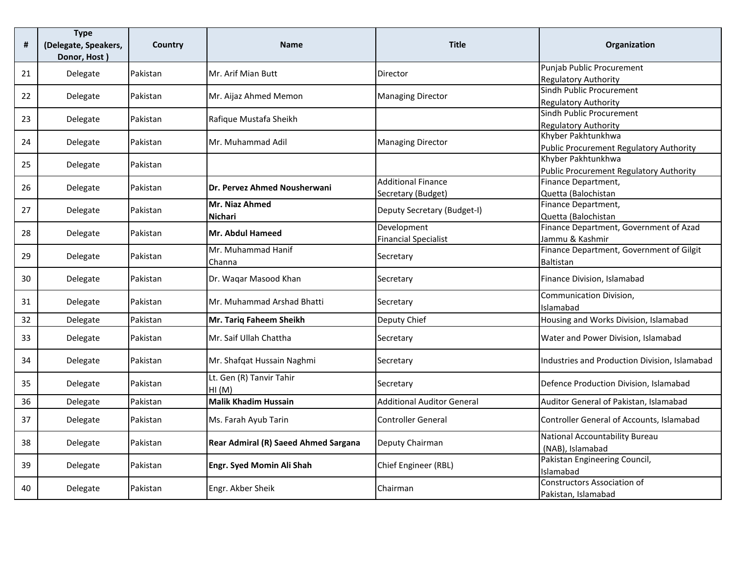| $\pmb{\sharp}$ | <b>Type</b><br>(Delegate, Speakers,<br>Donor, Host) | Country         | <b>Name</b>                                 | <b>Title</b>                                    | Organization                                                  |
|----------------|-----------------------------------------------------|-----------------|---------------------------------------------|-------------------------------------------------|---------------------------------------------------------------|
| 21             | Delegate                                            | Pakistan        | Mr. Arif Mian Butt                          | Director                                        | Punjab Public Procurement<br><b>Regulatory Authority</b>      |
| 22             | Delegate                                            | Pakistan        | Mr. Aijaz Ahmed Memon                       | <b>Managing Director</b>                        | Sindh Public Procurement<br><b>Regulatory Authority</b>       |
| 23             | Delegate                                            | Pakistan        | Rafique Mustafa Sheikh                      |                                                 | Sindh Public Procurement<br><b>Regulatory Authority</b>       |
| 24             | Delegate                                            | Pakistan        | Mr. Muhammad Adil                           | <b>Managing Director</b>                        | Khyber Pakhtunkhwa<br>Public Procurement Regulatory Authority |
| 25             | Delegate                                            | Pakistan        |                                             |                                                 | Khyber Pakhtunkhwa<br>Public Procurement Regulatory Authority |
| 26             | Delegate                                            | Pakistan        | Dr. Pervez Ahmed Nousherwani                | <b>Additional Finance</b><br>Secretary (Budget) | Finance Department,<br>Quetta (Balochistan                    |
| 27             | Delegate                                            | Pakistan        | Mr. Niaz Ahmed<br>Nichari                   | Deputy Secretary (Budget-I)                     | Finance Department,<br>Quetta (Balochistan                    |
| 28             | Delegate                                            | Pakistan        | <b>Mr. Abdul Hameed</b>                     | Development<br><b>Financial Specialist</b>      | Finance Department, Government of Azad<br>Jammu & Kashmir     |
| 29             | Delegate                                            | Pakistan        | Mr. Muhammad Hanif<br>Channa                | Secretary                                       | Finance Department, Government of Gilgit<br><b>Baltistan</b>  |
| 30             | Delegate                                            | Pakistan        | Dr. Waqar Masood Khan                       | Secretary                                       | Finance Division, Islamabad                                   |
| 31             | Delegate                                            | Pakistan        | Mr. Muhammad Arshad Bhatti                  | Secretary                                       | Communication Division,<br>Islamabad                          |
| 32             | Delegate                                            | Pakistan        | Mr. Tariq Faheem Sheikh                     | Deputy Chief                                    | Housing and Works Division, Islamabad                         |
| 33             | Delegate                                            | Pakistan        | Mr. Saif Ullah Chattha                      | Secretary                                       | Water and Power Division, Islamabad                           |
| 34             | Delegate                                            | Pakistan        | Mr. Shafqat Hussain Naghmi                  | Secretary                                       | Industries and Production Division, Islamabad                 |
| 35             | Delegate                                            | Pakistan        | Lt. Gen (R) Tanvir Tahir<br>HI(M)           | Secretary                                       | Defence Production Division, Islamabad                        |
| 36             | Delegate                                            | Pakistan        | <b>Malik Khadim Hussain</b>                 | <b>Additional Auditor General</b>               | Auditor General of Pakistan, Islamabad                        |
| 37             | Delegate                                            | Pakistan        | Ms. Farah Ayub Tarin                        | <b>Controller General</b>                       | Controller General of Accounts, Islamabad                     |
| 38             | Delegate                                            | Pakistan        | <b>Rear Admiral (R) Saeed Ahmed Sargana</b> | Deputy Chairman                                 | National Accountability Bureau<br>(NAB), Islamabad            |
| 39             | Delegate                                            | Pakistan        | Engr. Syed Momin Ali Shah                   | Chief Engineer (RBL)                            | Pakistan Engineering Council,<br>Islamabad                    |
| 40             | Delegate                                            | <b>Pakistan</b> | Engr. Akber Sheik                           | Chairman                                        | Constructors Association of<br>Pakistan, Islamabad            |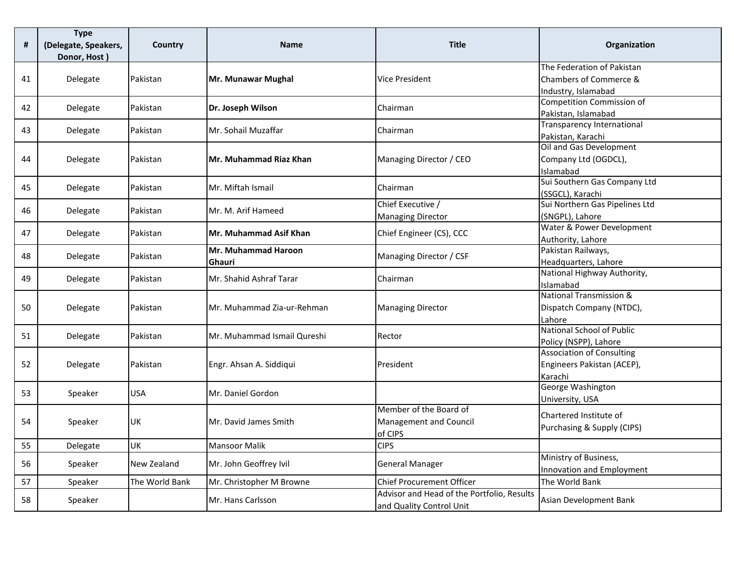| $\pmb{\sharp}$ | <b>Type</b><br>(Delegate, Speakers,<br>Donor, Host) | Country        | <b>Name</b>                 | <b>Title</b>                               | Organization                                       |
|----------------|-----------------------------------------------------|----------------|-----------------------------|--------------------------------------------|----------------------------------------------------|
|                |                                                     |                |                             |                                            | The Federation of Pakistan                         |
| 41             | Delegate                                            | Pakistan       | Mr. Munawar Mughal          | <b>Vice President</b>                      | Chambers of Commerce &                             |
|                |                                                     |                |                             |                                            | Industry, Islamabad                                |
| 42             | Delegate                                            | Pakistan       | Dr. Joseph Wilson           | Chairman                                   | <b>Competition Commission of</b>                   |
|                |                                                     |                |                             |                                            | Pakistan, Islamabad                                |
| 43             | Delegate                                            | Pakistan       | Mr. Sohail Muzaffar         | Chairman                                   | Transparency International                         |
|                |                                                     |                |                             |                                            | Pakistan, Karachi                                  |
|                |                                                     |                |                             |                                            | Oil and Gas Development                            |
| 44             | Delegate                                            | Pakistan       | Mr. Muhammad Riaz Khan      | Managing Director / CEO                    | Company Ltd (OGDCL),                               |
|                |                                                     |                |                             |                                            | Islamabad                                          |
| 45             | Delegate                                            | Pakistan       | Mr. Miftah Ismail           | Chairman                                   | Sui Southern Gas Company Ltd                       |
|                |                                                     |                |                             | Chief Executive /                          | (SSGCL), Karachi<br>Sui Northern Gas Pipelines Ltd |
| 46             | Delegate                                            | Pakistan       | Mr. M. Arif Hameed          |                                            |                                                    |
|                |                                                     |                |                             | <b>Managing Director</b>                   | (SNGPL), Lahore<br>Water & Power Development       |
| 47             | Delegate                                            | Pakistan       | Mr. Muhammad Asif Khan      | Chief Engineer (CS), CCC                   | Authority, Lahore                                  |
|                |                                                     |                | Mr. Muhammad Haroon         |                                            | Pakistan Railways,                                 |
| 48             | Delegate                                            | Pakistan       | Ghauri                      | Managing Director / CSF                    | Headquarters, Lahore                               |
|                |                                                     |                |                             |                                            | National Highway Authority,                        |
| 49             | Delegate                                            | Pakistan       | Mr. Shahid Ashraf Tarar     | Chairman                                   | Islamabad                                          |
|                |                                                     |                |                             |                                            | <b>National Transmission &amp;</b>                 |
| 50             | Delegate                                            | Pakistan       | Mr. Muhammad Zia-ur-Rehman  | <b>Managing Director</b>                   | Dispatch Company (NTDC),                           |
|                |                                                     |                |                             |                                            | Lahore                                             |
| 51             | Delegate                                            | Pakistan       | Mr. Muhammad Ismail Qureshi | Rector                                     | <b>National School of Public</b>                   |
|                |                                                     |                |                             |                                            | Policy (NSPP), Lahore                              |
|                |                                                     |                |                             |                                            | <b>Association of Consulting</b>                   |
| 52             | Delegate                                            | Pakistan       | Engr. Ahsan A. Siddiqui     | President                                  | Engineers Pakistan (ACEP),                         |
|                |                                                     |                |                             |                                            | Karachi                                            |
| 53             | Speaker                                             | <b>USA</b>     | Mr. Daniel Gordon           |                                            | George Washington                                  |
|                |                                                     |                |                             |                                            | University, USA                                    |
|                |                                                     |                |                             | Member of the Board of                     | Chartered Institute of                             |
| 54             | Speaker                                             | <b>UK</b>      | Mr. David James Smith       | Management and Council                     | Purchasing & Supply (CIPS)                         |
|                |                                                     |                |                             | of CIPS                                    |                                                    |
| 55             | Delegate                                            | UK             | <b>Mansoor Malik</b>        | <b>CIPS</b>                                |                                                    |
| 56             | Speaker                                             | New Zealand    | Mr. John Geoffrey Ivil      | <b>General Manager</b>                     | Ministry of Business,                              |
|                |                                                     |                |                             |                                            | Innovation and Employment                          |
| 57             | Speaker                                             | The World Bank | Mr. Christopher M Browne    | <b>Chief Procurement Officer</b>           | The World Bank                                     |
| 58             | Speaker                                             |                | Mr. Hans Carlsson           | Advisor and Head of the Portfolio, Results | Asian Development Bank                             |
|                |                                                     |                |                             | and Quality Control Unit                   |                                                    |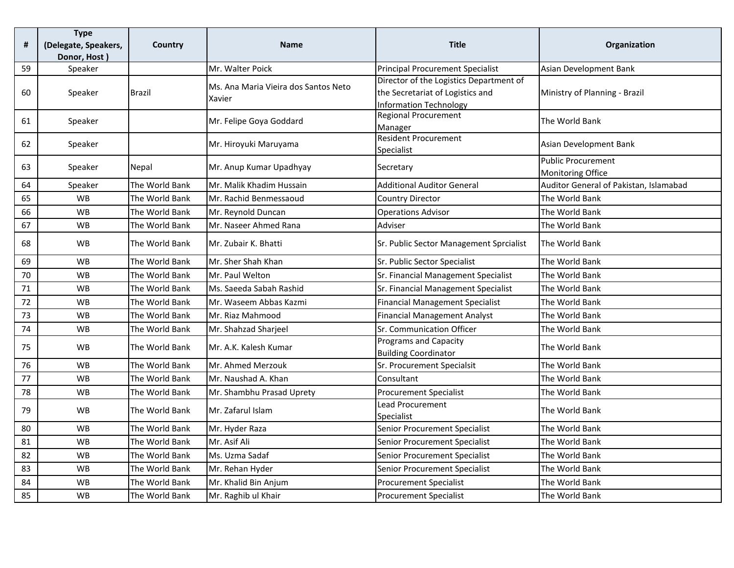| #  | <b>Type</b><br>(Delegate, Speakers,<br>Donor, Host) | Country        | <b>Name</b>                                    | <b>Title</b>                                                                                          | Organization                                   |
|----|-----------------------------------------------------|----------------|------------------------------------------------|-------------------------------------------------------------------------------------------------------|------------------------------------------------|
| 59 | Speaker                                             |                | Mr. Walter Poick                               | <b>Principal Procurement Specialist</b>                                                               | Asian Development Bank                         |
| 60 | Speaker                                             | Brazil         | Ms. Ana Maria Vieira dos Santos Neto<br>Xavier | Director of the Logistics Department of<br>the Secretariat of Logistics and<br>Information Technology | Ministry of Planning - Brazil                  |
| 61 | Speaker                                             |                | Mr. Felipe Goya Goddard                        | <b>Regional Procurement</b><br>Manager                                                                | The World Bank                                 |
| 62 | Speaker                                             |                | Mr. Hiroyuki Maruyama                          | Resident Procurement<br>Specialist                                                                    | Asian Development Bank                         |
| 63 | Speaker                                             | Nepal          | Mr. Anup Kumar Upadhyay                        | Secretary                                                                                             | <b>Public Procurement</b><br>Monitoring Office |
| 64 | Speaker                                             | The World Bank | Mr. Malik Khadim Hussain                       | <b>Additional Auditor General</b>                                                                     | Auditor General of Pakistan, Islamabad         |
| 65 | <b>WB</b>                                           | The World Bank | Mr. Rachid Benmessaoud                         | <b>Country Director</b>                                                                               | The World Bank                                 |
| 66 | <b>WB</b>                                           | The World Bank | Mr. Reynold Duncan                             | <b>Operations Advisor</b>                                                                             | The World Bank                                 |
| 67 | <b>WB</b>                                           | The World Bank | Mr. Naseer Ahmed Rana                          | Adviser                                                                                               | The World Bank                                 |
| 68 | <b>WB</b>                                           | The World Bank | Mr. Zubair K. Bhatti                           | Sr. Public Sector Management Sprcialist                                                               | The World Bank                                 |
| 69 | <b>WB</b>                                           | The World Bank | Mr. Sher Shah Khan                             | Sr. Public Sector Specialist                                                                          | The World Bank                                 |
| 70 | <b>WB</b>                                           | The World Bank | Mr. Paul Welton                                | Sr. Financial Management Specialist                                                                   | The World Bank                                 |
| 71 | <b>WB</b>                                           | The World Bank | Ms. Saeeda Sabah Rashid                        | Sr. Financial Management Specialist                                                                   | The World Bank                                 |
| 72 | <b>WB</b>                                           | The World Bank | Mr. Waseem Abbas Kazmi                         | <b>Financial Management Specialist</b>                                                                | The World Bank                                 |
| 73 | <b>WB</b>                                           | The World Bank | Mr. Riaz Mahmood                               | <b>Financial Management Analyst</b>                                                                   | The World Bank                                 |
| 74 | <b>WB</b>                                           | The World Bank | Mr. Shahzad Sharjeel                           | Sr. Communication Officer                                                                             | The World Bank                                 |
| 75 | <b>WB</b>                                           | The World Bank | Mr. A.K. Kalesh Kumar                          | <b>Programs and Capacity</b><br><b>Building Coordinator</b>                                           | The World Bank                                 |
| 76 | <b>WB</b>                                           | The World Bank | Mr. Ahmed Merzouk                              | Sr. Procurement Specialsit                                                                            | The World Bank                                 |
| 77 | <b>WB</b>                                           | The World Bank | Mr. Naushad A. Khan                            | Consultant                                                                                            | The World Bank                                 |
| 78 | <b>WB</b>                                           | The World Bank | Mr. Shambhu Prasad Uprety                      | <b>Procurement Specialist</b>                                                                         | The World Bank                                 |
| 79 | <b>WB</b>                                           | The World Bank | Mr. Zafarul Islam                              | Lead Procurement<br>Specialist                                                                        | The World Bank                                 |
| 80 | <b>WB</b>                                           | The World Bank | Mr. Hyder Raza                                 | Senior Procurement Specialist                                                                         | The World Bank                                 |
| 81 | WB                                                  | The World Bank | Mr. Asif Ali                                   | Senior Procurement Specialist                                                                         | The World Bank                                 |
| 82 | <b>WB</b>                                           | The World Bank | Ms. Uzma Sadaf                                 | Senior Procurement Specialist                                                                         | The World Bank                                 |
| 83 | <b>WB</b>                                           | The World Bank | Mr. Rehan Hyder                                | Senior Procurement Specialist                                                                         | The World Bank                                 |
| 84 | <b>WB</b>                                           | The World Bank | Mr. Khalid Bin Anjum                           | <b>Procurement Specialist</b>                                                                         | The World Bank                                 |
| 85 | <b>WB</b>                                           | The World Bank | Mr. Raghib ul Khair                            | <b>Procurement Specialist</b>                                                                         | The World Bank                                 |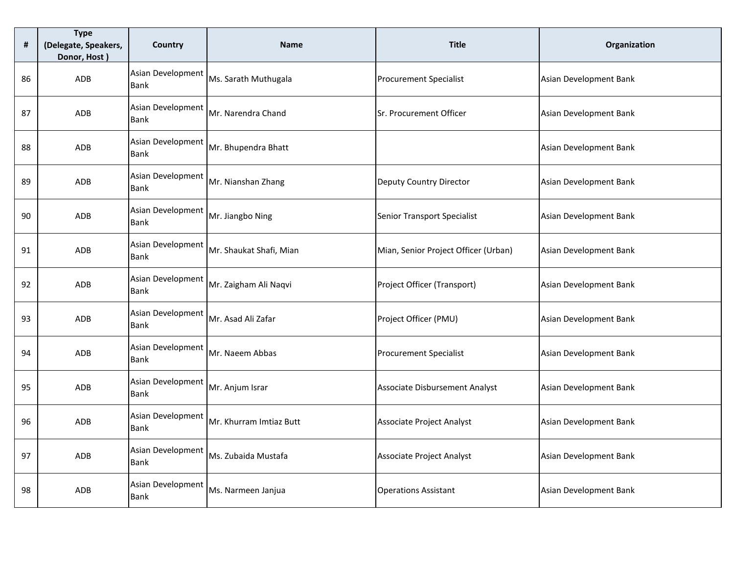| #  | <b>Type</b><br>(Delegate, Speakers,<br>Donor, Host) | Country                          | <b>Name</b>             | <b>Title</b>                         | Organization           |
|----|-----------------------------------------------------|----------------------------------|-------------------------|--------------------------------------|------------------------|
| 86 | ADB                                                 | Asian Development<br><b>Bank</b> | Ms. Sarath Muthugala    | <b>Procurement Specialist</b>        | Asian Development Bank |
| 87 | ADB                                                 | Asian Development<br><b>Bank</b> | Mr. Narendra Chand      | Sr. Procurement Officer              | Asian Development Bank |
| 88 | ADB                                                 | Asian Development<br><b>Bank</b> | Mr. Bhupendra Bhatt     |                                      | Asian Development Bank |
| 89 | ADB                                                 | Asian Development<br><b>Bank</b> | Mr. Nianshan Zhang      | Deputy Country Director              | Asian Development Bank |
| 90 | ADB                                                 | Asian Development<br><b>Bank</b> | Mr. Jiangbo Ning        | <b>Senior Transport Specialist</b>   | Asian Development Bank |
| 91 | ADB                                                 | Asian Development<br>Bank        | Mr. Shaukat Shafi, Mian | Mian, Senior Project Officer (Urban) | Asian Development Bank |
| 92 | ADB                                                 | Asian Development<br><b>Bank</b> | Mr. Zaigham Ali Naqvi   | Project Officer (Transport)          | Asian Development Bank |
| 93 | ADB                                                 | Asian Development<br><b>Bank</b> | Mr. Asad Ali Zafar      | Project Officer (PMU)                | Asian Development Bank |
| 94 | ADB                                                 | Asian Development<br><b>Bank</b> | Mr. Naeem Abbas         | <b>Procurement Specialist</b>        | Asian Development Bank |
| 95 | ADB                                                 | Asian Development<br><b>Bank</b> | Mr. Anjum Israr         | Associate Disbursement Analyst       | Asian Development Bank |
| 96 | ADB                                                 | Asian Development<br><b>Bank</b> | Mr. Khurram Imtiaz Butt | Associate Project Analyst            | Asian Development Bank |
| 97 | ADB                                                 | Asian Development<br><b>Bank</b> | Ms. Zubaida Mustafa     | Associate Project Analyst            | Asian Development Bank |
| 98 | <b>ADB</b>                                          | Asian Development<br><b>Bank</b> | Ms. Narmeen Janjua      | <b>Operations Assistant</b>          | Asian Development Bank |